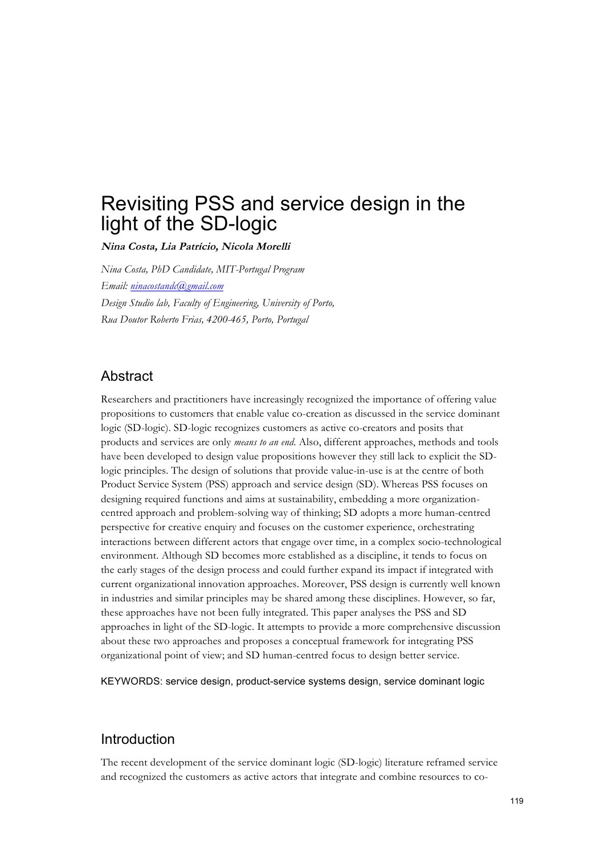# Revisiting PSS and service design in the light of the SD-logic

**Nina Costa, Lia Patrício, Nicola Morelli** 

*Nina Costa, PhD Candidate, MIT-Portugal Program Email: ninacostandc@gmail.com Design Studio lab, Faculty of Engineering, University of Porto, Rua Doutor Roberto Frias, 4200-465, Porto, Portugal*

## Abstract

Researchers and practitioners have increasingly recognized the importance of offering value propositions to customers that enable value co-creation as discussed in the service dominant logic (SD-logic). SD-logic recognizes customers as active co-creators and posits that products and services are only *means to an end*. Also, different approaches, methods and tools have been developed to design value propositions however they still lack to explicit the SDlogic principles. The design of solutions that provide value-in-use is at the centre of both Product Service System (PSS) approach and service design (SD). Whereas PSS focuses on designing required functions and aims at sustainability, embedding a more organizationcentred approach and problem-solving way of thinking; SD adopts a more human-centred perspective for creative enquiry and focuses on the customer experience, orchestrating interactions between different actors that engage over time, in a complex socio-technological environment. Although SD becomes more established as a discipline, it tends to focus on the early stages of the design process and could further expand its impact if integrated with current organizational innovation approaches. Moreover, PSS design is currently well known in industries and similar principles may be shared among these disciplines. However, so far, these approaches have not been fully integrated. This paper analyses the PSS and SD approaches in light of the SD-logic. It attempts to provide a more comprehensive discussion about these two approaches and proposes a conceptual framework for integrating PSS organizational point of view; and SD human-centred focus to design better service.

KEYWORDS: service design, product-service systems design, service dominant logic

### Introduction

The recent development of the service dominant logic (SD-logic) literature reframed service and recognized the customers as active actors that integrate and combine resources to co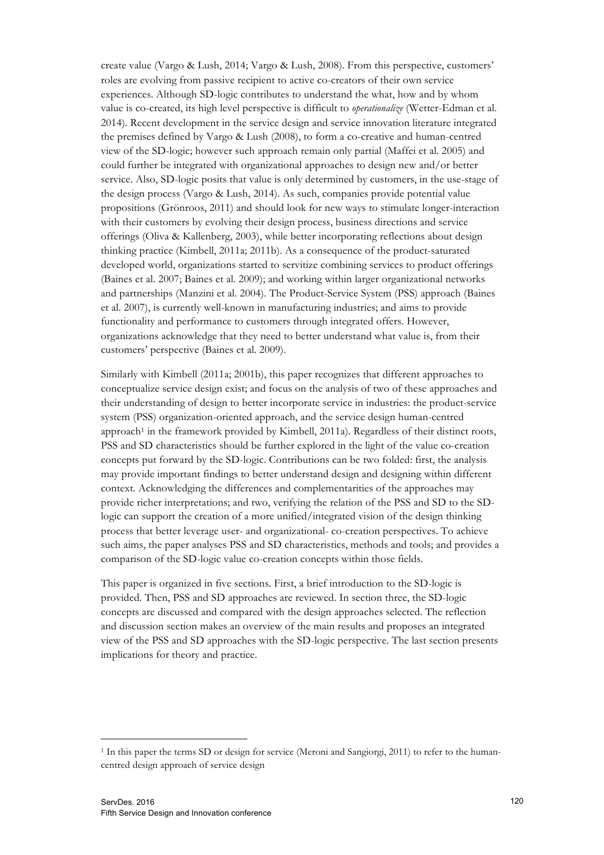create value (Vargo & Lush, 2014; Vargo & Lush, 2008). From this perspective, customers' roles are evolving from passive recipient to active co-creators of their own service experiences. Although SD-logic contributes to understand the what, how and by whom value is co-created, its high level perspective is difficult to *operationalize* (Wetter-Edman et al. 2014). Recent development in the service design and service innovation literature integrated the premises defined by Vargo & Lush (2008), to form a co-creative and human-centred view of the SD-logic; however such approach remain only partial (Maffei et al. 2005) and could further be integrated with organizational approaches to design new and/or better service. Also, SD-logic posits that value is only determined by customers, in the use-stage of the design process (Vargo & Lush, 2014). As such, companies provide potential value propositions (Grönroos, 2011) and should look for new ways to stimulate longer-interaction with their customers by evolving their design process, business directions and service offerings (Oliva & Kallenberg, 2003), while better incorporating reflections about design thinking practice (Kimbell, 2011a; 2011b). As a consequence of the product-saturated developed world, organizations started to servitize combining services to product offerings (Baines et al. 2007; Baines et al. 2009); and working within larger organizational networks and partnerships (Manzini et al. 2004). The Product-Service System (PSS) approach (Baines et al. 2007), is currently well-known in manufacturing industries; and aims to provide functionality and performance to customers through integrated offers. However, organizations acknowledge that they need to better understand what value is, from their customers' perspective (Baines et al. 2009).

Similarly with Kimbell (2011a; 2001b), this paper recognizes that different approaches to conceptualize service design exist; and focus on the analysis of two of these approaches and their understanding of design to better incorporate service in industries: the product-service system (PSS) organization-oriented approach, and the service design human-centred approach<sup>1</sup> in the framework provided by Kimbell, 2011a). Regardless of their distinct roots, PSS and SD characteristics should be further explored in the light of the value co-creation concepts put forward by the SD-logic. Contributions can be two folded: first, the analysis may provide important findings to better understand design and designing within different context. Acknowledging the differences and complementarities of the approaches may provide richer interpretations; and two, verifying the relation of the PSS and SD to the SDlogic can support the creation of a more unified/integrated vision of the design thinking process that better leverage user- and organizational- co-creation perspectives. To achieve such aims, the paper analyses PSS and SD characteristics, methods and tools; and provides a comparison of the SD-logic value co-creation concepts within those fields.

This paper is organized in five sections. First, a brief introduction to the SD-logic is provided. Then, PSS and SD approaches are reviewed. In section three, the SD-logic concepts are discussed and compared with the design approaches selected. The reflection and discussion section makes an overview of the main results and proposes an integrated view of the PSS and SD approaches with the SD-logic perspective. The last section presents implications for theory and practice.

 <sup>1</sup> In this paper the terms SD or design for service (Meroni and Sangiorgi, 2011) to refer to the humancentred design approach of service design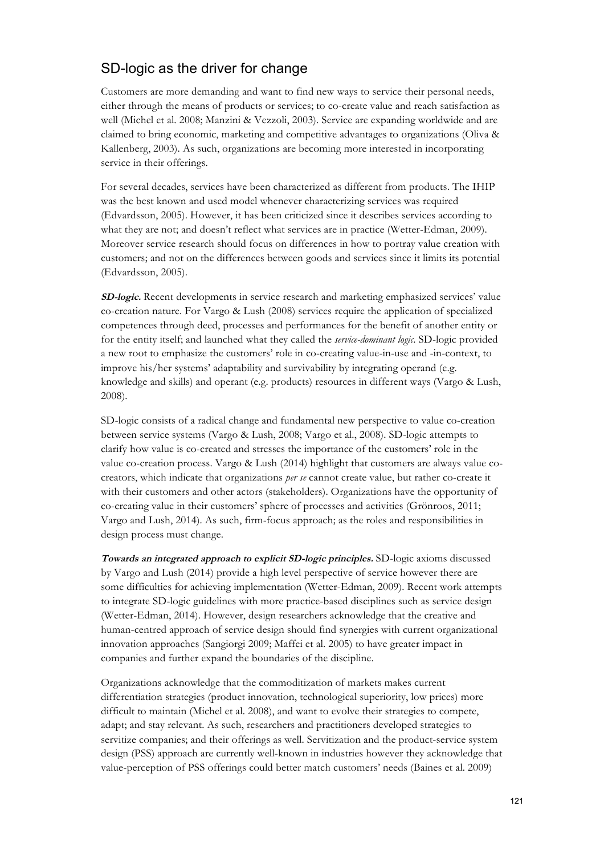# SD-logic as the driver for change

Customers are more demanding and want to find new ways to service their personal needs, either through the means of products or services; to co-create value and reach satisfaction as well (Michel et al. 2008; Manzini & Vezzoli, 2003). Service are expanding worldwide and are claimed to bring economic, marketing and competitive advantages to organizations (Oliva & Kallenberg, 2003). As such, organizations are becoming more interested in incorporating service in their offerings.

For several decades, services have been characterized as different from products. The IHIP was the best known and used model whenever characterizing services was required (Edvardsson, 2005). However, it has been criticized since it describes services according to what they are not; and doesn't reflect what services are in practice (Wetter-Edman, 2009). Moreover service research should focus on differences in how to portray value creation with customers; and not on the differences between goods and services since it limits its potential (Edvardsson, 2005).

**SD-logic.** Recent developments in service research and marketing emphasized services' value co-creation nature. For Vargo & Lush (2008) services require the application of specialized competences through deed, processes and performances for the benefit of another entity or for the entity itself; and launched what they called the *service-dominant logic*. SD-logic provided a new root to emphasize the customers' role in co-creating value-in-use and -in-context, to improve his/her systems' adaptability and survivability by integrating operand (e.g. knowledge and skills) and operant (e.g. products) resources in different ways (Vargo & Lush, 2008).

SD-logic consists of a radical change and fundamental new perspective to value co-creation between service systems (Vargo & Lush, 2008; Vargo et al., 2008). SD-logic attempts to clarify how value is co-created and stresses the importance of the customers' role in the value co-creation process. Vargo & Lush (2014) highlight that customers are always value cocreators, which indicate that organizations *per se* cannot create value, but rather co-create it with their customers and other actors (stakeholders). Organizations have the opportunity of co-creating value in their customers' sphere of processes and activities (Grönroos, 2011; Vargo and Lush, 2014). As such, firm-focus approach; as the roles and responsibilities in design process must change.

**Towards an integrated approach to explicit SD-logic principles.** SD-logic axioms discussed by Vargo and Lush (2014) provide a high level perspective of service however there are some difficulties for achieving implementation (Wetter-Edman, 2009). Recent work attempts to integrate SD-logic guidelines with more practice-based disciplines such as service design (Wetter-Edman, 2014). However, design researchers acknowledge that the creative and human-centred approach of service design should find synergies with current organizational innovation approaches (Sangiorgi 2009; Maffei et al. 2005) to have greater impact in companies and further expand the boundaries of the discipline.

Organizations acknowledge that the commoditization of markets makes current differentiation strategies (product innovation, technological superiority, low prices) more difficult to maintain (Michel et al. 2008), and want to evolve their strategies to compete, adapt; and stay relevant. As such, researchers and practitioners developed strategies to servitize companies; and their offerings as well. Servitization and the product-service system design (PSS) approach are currently well-known in industries however they acknowledge that value-perception of PSS offerings could better match customers' needs (Baines et al. 2009)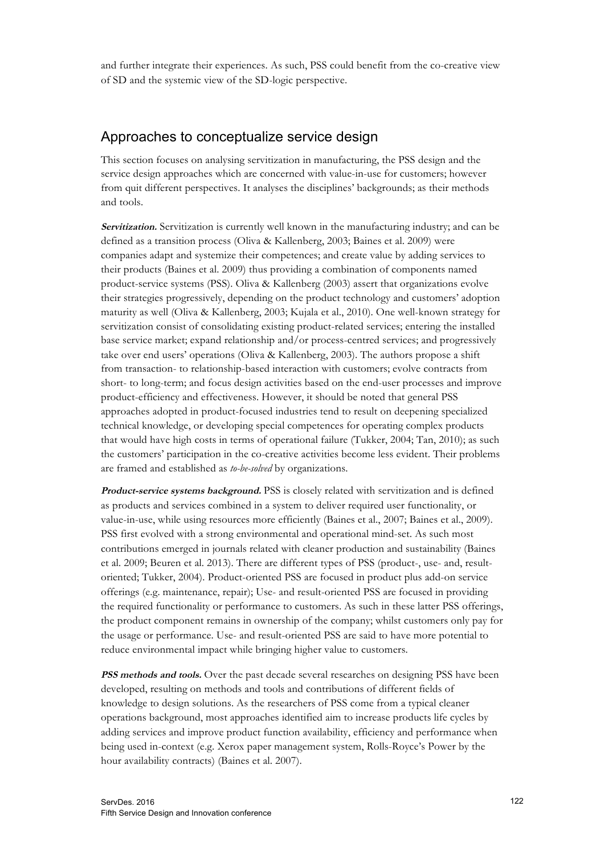and further integrate their experiences. As such, PSS could benefit from the co-creative view of SD and the systemic view of the SD-logic perspective.

#### Approaches to conceptualize service design

This section focuses on analysing servitization in manufacturing, the PSS design and the service design approaches which are concerned with value-in-use for customers; however from quit different perspectives. It analyses the disciplines' backgrounds; as their methods and tools.

**Servitization.** Servitization is currently well known in the manufacturing industry; and can be defined as a transition process (Oliva & Kallenberg, 2003; Baines et al. 2009) were companies adapt and systemize their competences; and create value by adding services to their products (Baines et al. 2009) thus providing a combination of components named product-service systems (PSS). Oliva & Kallenberg (2003) assert that organizations evolve their strategies progressively, depending on the product technology and customers' adoption maturity as well (Oliva & Kallenberg, 2003; Kujala et al., 2010). One well-known strategy for servitization consist of consolidating existing product-related services; entering the installed base service market; expand relationship and/or process-centred services; and progressively take over end users' operations (Oliva & Kallenberg, 2003). The authors propose a shift from transaction- to relationship-based interaction with customers; evolve contracts from short- to long-term; and focus design activities based on the end-user processes and improve product-efficiency and effectiveness. However, it should be noted that general PSS approaches adopted in product-focused industries tend to result on deepening specialized technical knowledge, or developing special competences for operating complex products that would have high costs in terms of operational failure (Tukker, 2004; Tan, 2010); as such the customers' participation in the co-creative activities become less evident. Their problems are framed and established as *to-be-solved* by organizations.

**Product-service systems background.** PSS is closely related with servitization and is defined as products and services combined in a system to deliver required user functionality, or value-in-use, while using resources more efficiently (Baines et al., 2007; Baines et al., 2009). PSS first evolved with a strong environmental and operational mind-set. As such most contributions emerged in journals related with cleaner production and sustainability (Baines et al. 2009; Beuren et al. 2013). There are different types of PSS (product-, use- and, resultoriented; Tukker, 2004). Product-oriented PSS are focused in product plus add-on service offerings (e.g. maintenance, repair); Use- and result-oriented PSS are focused in providing the required functionality or performance to customers. As such in these latter PSS offerings, the product component remains in ownership of the company; whilst customers only pay for the usage or performance. Use- and result-oriented PSS are said to have more potential to reduce environmental impact while bringing higher value to customers.

**PSS methods and tools.** Over the past decade several researches on designing PSS have been developed, resulting on methods and tools and contributions of different fields of knowledge to design solutions. As the researchers of PSS come from a typical cleaner operations background, most approaches identified aim to increase products life cycles by adding services and improve product function availability, efficiency and performance when being used in-context (e.g. Xerox paper management system, Rolls-Royce's Power by the hour availability contracts) (Baines et al. 2007).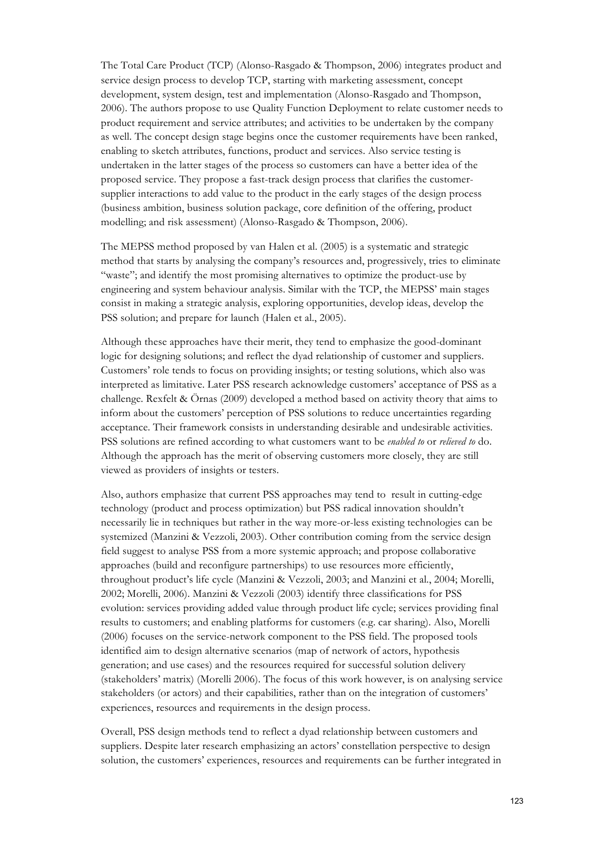The Total Care Product (TCP) (Alonso-Rasgado & Thompson, 2006) integrates product and service design process to develop TCP, starting with marketing assessment, concept development, system design, test and implementation (Alonso-Rasgado and Thompson, 2006). The authors propose to use Quality Function Deployment to relate customer needs to product requirement and service attributes; and activities to be undertaken by the company as well. The concept design stage begins once the customer requirements have been ranked, enabling to sketch attributes, functions, product and services. Also service testing is undertaken in the latter stages of the process so customers can have a better idea of the proposed service. They propose a fast-track design process that clarifies the customersupplier interactions to add value to the product in the early stages of the design process (business ambition, business solution package, core definition of the offering, product modelling; and risk assessment) (Alonso-Rasgado & Thompson, 2006).

The MEPSS method proposed by van Halen et al. (2005) is a systematic and strategic method that starts by analysing the company's resources and, progressively, tries to eliminate "waste"; and identify the most promising alternatives to optimize the product-use by engineering and system behaviour analysis. Similar with the TCP, the MEPSS' main stages consist in making a strategic analysis, exploring opportunities, develop ideas, develop the PSS solution; and prepare for launch (Halen et al., 2005).

Although these approaches have their merit, they tend to emphasize the good-dominant logic for designing solutions; and reflect the dyad relationship of customer and suppliers. Customers' role tends to focus on providing insights; or testing solutions, which also was interpreted as limitative. Later PSS research acknowledge customers' acceptance of PSS as a challenge. Rexfelt & Örnas (2009) developed a method based on activity theory that aims to inform about the customers' perception of PSS solutions to reduce uncertainties regarding acceptance. Their framework consists in understanding desirable and undesirable activities. PSS solutions are refined according to what customers want to be *enabled to* or *relieved to* do. Although the approach has the merit of observing customers more closely, they are still viewed as providers of insights or testers.

Also, authors emphasize that current PSS approaches may tend to result in cutting-edge technology (product and process optimization) but PSS radical innovation shouldn't necessarily lie in techniques but rather in the way more-or-less existing technologies can be systemized (Manzini & Vezzoli, 2003). Other contribution coming from the service design field suggest to analyse PSS from a more systemic approach; and propose collaborative approaches (build and reconfigure partnerships) to use resources more efficiently, throughout product's life cycle (Manzini & Vezzoli, 2003; and Manzini et al., 2004; Morelli, 2002; Morelli, 2006). Manzini & Vezzoli (2003) identify three classifications for PSS evolution: services providing added value through product life cycle; services providing final results to customers; and enabling platforms for customers (e.g. car sharing). Also, Morelli (2006) focuses on the service-network component to the PSS field. The proposed tools identified aim to design alternative scenarios (map of network of actors, hypothesis generation; and use cases) and the resources required for successful solution delivery (stakeholders' matrix) (Morelli 2006). The focus of this work however, is on analysing service stakeholders (or actors) and their capabilities, rather than on the integration of customers' experiences, resources and requirements in the design process.

Overall, PSS design methods tend to reflect a dyad relationship between customers and suppliers. Despite later research emphasizing an actors' constellation perspective to design solution, the customers' experiences, resources and requirements can be further integrated in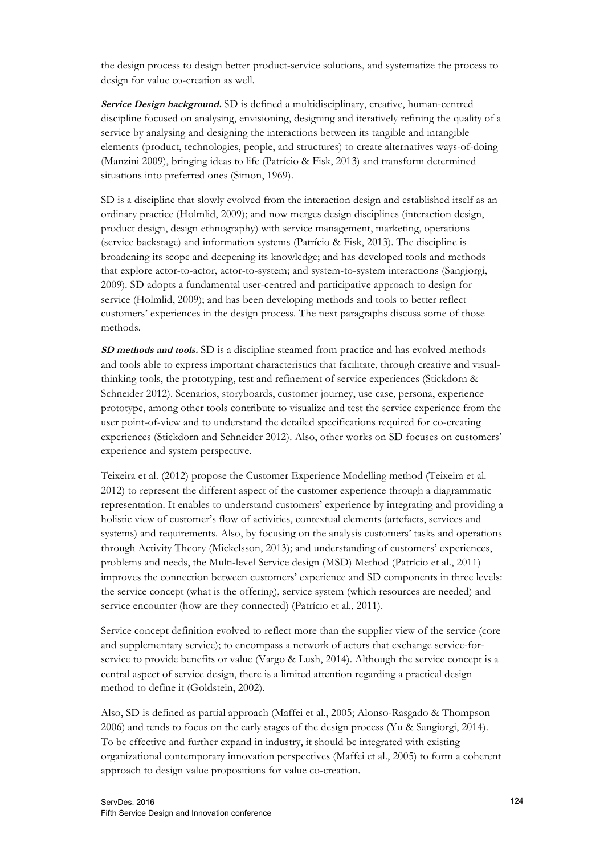the design process to design better product-service solutions, and systematize the process to design for value co-creation as well.

**Service Design background.** SD is defined a multidisciplinary, creative, human-centred discipline focused on analysing, envisioning, designing and iteratively refining the quality of a service by analysing and designing the interactions between its tangible and intangible elements (product, technologies, people, and structures) to create alternatives ways-of-doing (Manzini 2009), bringing ideas to life (Patrício & Fisk, 2013) and transform determined situations into preferred ones (Simon, 1969).

SD is a discipline that slowly evolved from the interaction design and established itself as an ordinary practice (Holmlid, 2009); and now merges design disciplines (interaction design, product design, design ethnography) with service management, marketing, operations (service backstage) and information systems (Patrício & Fisk, 2013). The discipline is broadening its scope and deepening its knowledge; and has developed tools and methods that explore actor-to-actor, actor-to-system; and system-to-system interactions (Sangiorgi, 2009). SD adopts a fundamental user-centred and participative approach to design for service (Holmlid, 2009); and has been developing methods and tools to better reflect customers' experiences in the design process. The next paragraphs discuss some of those methods.

**SD methods and tools.** SD is a discipline steamed from practice and has evolved methods and tools able to express important characteristics that facilitate, through creative and visualthinking tools, the prototyping, test and refinement of service experiences (Stickdorn & Schneider 2012). Scenarios, storyboards, customer journey, use case, persona, experience prototype, among other tools contribute to visualize and test the service experience from the user point-of-view and to understand the detailed specifications required for co-creating experiences (Stickdorn and Schneider 2012). Also, other works on SD focuses on customers' experience and system perspective.

Teixeira et al. (2012) propose the Customer Experience Modelling method (Teixeira et al. 2012) to represent the different aspect of the customer experience through a diagrammatic representation. It enables to understand customers' experience by integrating and providing a holistic view of customer's flow of activities, contextual elements (artefacts, services and systems) and requirements. Also, by focusing on the analysis customers' tasks and operations through Activity Theory (Mickelsson, 2013); and understanding of customers' experiences, problems and needs, the Multi-level Service design (MSD) Method (Patrício et al., 2011) improves the connection between customers' experience and SD components in three levels: the service concept (what is the offering), service system (which resources are needed) and service encounter (how are they connected) (Patrício et al., 2011).

Service concept definition evolved to reflect more than the supplier view of the service (core and supplementary service); to encompass a network of actors that exchange service-forservice to provide benefits or value (Vargo & Lush, 2014). Although the service concept is a central aspect of service design, there is a limited attention regarding a practical design method to define it (Goldstein, 2002).

Also, SD is defined as partial approach (Maffei et al., 2005; Alonso-Rasgado & Thompson 2006) and tends to focus on the early stages of the design process (Yu & Sangiorgi, 2014). To be effective and further expand in industry, it should be integrated with existing organizational contemporary innovation perspectives (Maffei et al., 2005) to form a coherent approach to design value propositions for value co-creation.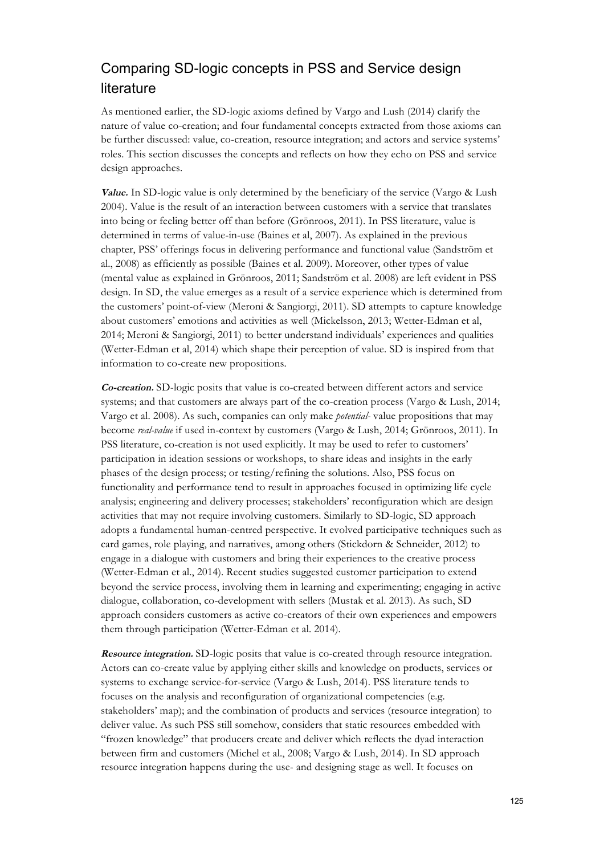# Comparing SD-logic concepts in PSS and Service design literature

As mentioned earlier, the SD-logic axioms defined by Vargo and Lush (2014) clarify the nature of value co-creation; and four fundamental concepts extracted from those axioms can be further discussed: value, co-creation, resource integration; and actors and service systems' roles. This section discusses the concepts and reflects on how they echo on PSS and service design approaches.

**Value.** In SD-logic value is only determined by the beneficiary of the service (Vargo & Lush 2004). Value is the result of an interaction between customers with a service that translates into being or feeling better off than before (Grönroos, 2011). In PSS literature, value is determined in terms of value-in-use (Baines et al, 2007). As explained in the previous chapter, PSS' offerings focus in delivering performance and functional value (Sandström et al., 2008) as efficiently as possible (Baines et al. 2009). Moreover, other types of value (mental value as explained in Grönroos, 2011; Sandström et al. 2008) are left evident in PSS design. In SD, the value emerges as a result of a service experience which is determined from the customers' point-of-view (Meroni & Sangiorgi, 2011). SD attempts to capture knowledge about customers' emotions and activities as well (Mickelsson, 2013; Wetter-Edman et al, 2014; Meroni & Sangiorgi, 2011) to better understand individuals' experiences and qualities (Wetter-Edman et al, 2014) which shape their perception of value. SD is inspired from that information to co-create new propositions.

**Co-creation.** SD-logic posits that value is co-created between different actors and service systems; and that customers are always part of the co-creation process (Vargo & Lush, 2014; Vargo et al. 2008). As such, companies can only make *potential-* value propositions that may become *real-value* if used in-context by customers (Vargo & Lush, 2014; Grönroos, 2011). In PSS literature, co-creation is not used explicitly. It may be used to refer to customers' participation in ideation sessions or workshops, to share ideas and insights in the early phases of the design process; or testing/refining the solutions. Also, PSS focus on functionality and performance tend to result in approaches focused in optimizing life cycle analysis; engineering and delivery processes; stakeholders' reconfiguration which are design activities that may not require involving customers. Similarly to SD-logic, SD approach adopts a fundamental human-centred perspective. It evolved participative techniques such as card games, role playing, and narratives, among others (Stickdorn & Schneider, 2012) to engage in a dialogue with customers and bring their experiences to the creative process (Wetter-Edman et al., 2014). Recent studies suggested customer participation to extend beyond the service process, involving them in learning and experimenting; engaging in active dialogue, collaboration, co-development with sellers (Mustak et al. 2013). As such, SD approach considers customers as active co-creators of their own experiences and empowers them through participation (Wetter-Edman et al. 2014).

**Resource integration.** SD-logic posits that value is co-created through resource integration. Actors can co-create value by applying either skills and knowledge on products, services or systems to exchange service-for-service (Vargo & Lush, 2014). PSS literature tends to focuses on the analysis and reconfiguration of organizational competencies (e.g. stakeholders' map); and the combination of products and services (resource integration) to deliver value. As such PSS still somehow, considers that static resources embedded with "frozen knowledge" that producers create and deliver which reflects the dyad interaction between firm and customers (Michel et al., 2008; Vargo & Lush, 2014). In SD approach resource integration happens during the use- and designing stage as well. It focuses on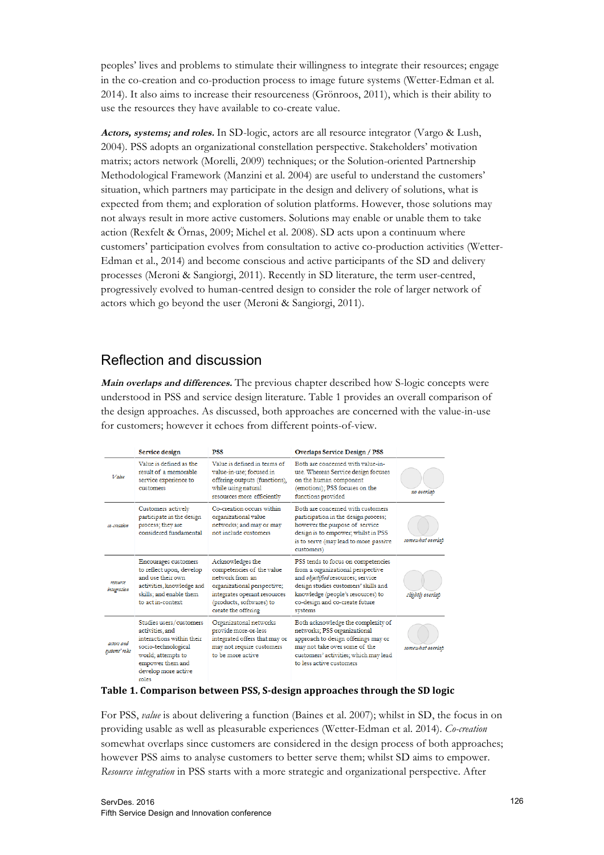peoples' lives and problems to stimulate their willingness to integrate their resources; engage in the co-creation and co-production process to image future systems (Wetter-Edman et al. 2014). It also aims to increase their resourceness (Grönroos, 2011), which is their ability to use the resources they have available to co-create value.

**Actors, systems; and roles.** In SD-logic, actors are all resource integrator (Vargo & Lush, 2004). PSS adopts an organizational constellation perspective. Stakeholders' motivation matrix; actors network (Morelli, 2009) techniques; or the Solution-oriented Partnership Methodological Framework (Manzini et al. 2004) are useful to understand the customers' situation, which partners may participate in the design and delivery of solutions, what is expected from them; and exploration of solution platforms. However, those solutions may not always result in more active customers. Solutions may enable or unable them to take action (Rexfelt & Örnas, 2009; Michel et al. 2008). SD acts upon a continuum where customers' participation evolves from consultation to active co-production activities (Wetter-Edman et al., 2014) and become conscious and active participants of the SD and delivery processes (Meroni & Sangiorgi, 2011). Recently in SD literature, the term user-centred, progressively evolved to human-centred design to consider the role of larger network of actors which go beyond the user (Meroni & Sangiorgi, 2011).

# Reflection and discussion

**Main overlaps and differences.** The previous chapter described how S-logic concepts were understood in PSS and service design literature. Table 1 provides an overall comparison of the design approaches. As discussed, both approaches are concerned with the value-in-use for customers; however it echoes from different points-of-view.

|                              | Service design                                                                                                                                                  | <b>PSS</b>                                                                                                                                                                         | <b>Overlaps Service Design / PSS</b>                                                                                                                                                                                                    |                  |
|------------------------------|-----------------------------------------------------------------------------------------------------------------------------------------------------------------|------------------------------------------------------------------------------------------------------------------------------------------------------------------------------------|-----------------------------------------------------------------------------------------------------------------------------------------------------------------------------------------------------------------------------------------|------------------|
| Value                        | Value is defined as the<br>result of a memorable<br>service experience to<br>customers                                                                          | Value is defined in terms of<br>value-in-use; focused in<br>offering outputs (functions),<br>while using natural<br>resources more efficiently                                     | Both are concerned with value-in-<br>use. Whereas Service design focuses<br>on the human component<br>(emotions); PSS focuses on the<br>functions provided                                                                              | no overlap       |
| co-creation                  | Customers actively<br>participate in the design<br>process; they are<br>considered fundamental                                                                  | Co-creation occurs within<br>organizational value<br>networks; and may or may<br>not include customers                                                                             | Both are concerned with customers<br>participation in the design process;<br>however the purpose of service<br>design is to empower; whilst in PSS<br>is to serve (may lead to more passive<br>customers)                               | somewhat overlap |
| resource<br>integration      | Encourages customers<br>to reflect upon, develop<br>and use their own.<br>activities, knowledge and<br>skills: and enable them<br>to act in-context             | Acknowledges the<br>competencies of the value<br>network from an<br>organizational perspective;<br>integrates operant resources<br>(products, softwares) to<br>create the offering | PSS tends to focus on competencies<br>from a organizational perspective<br>and objectified resources; service<br>design studies customers' skills and<br>knowledge (people's resources) to<br>co-design and co-create future<br>systems | slightly overlap |
| actors and<br>systems' roles | Studies users/customers<br>activities, and<br>interactions within their<br>socio-technological<br>world; attempts to<br>empower them and<br>develop more active | Organizatonal networks<br>provide more-or-less<br>integrated offers that may or<br>may not require customers<br>to be more active.                                                 | Both acknowledge the complexity of<br>networks; PSS organizational<br>approach to design offerings may or<br>may not take over some of the<br>customers' activities; which may lead<br>to less active customers.                        | somewhat overlap |

#### **Table 1. Comparison between PSS, S-design approaches through the SD logic**

For PSS, *value* is about delivering a function (Baines et al. 2007); whilst in SD, the focus in on providing usable as well as pleasurable experiences (Wetter-Edman et al. 2014). *Co-creation* somewhat overlaps since customers are considered in the design process of both approaches; however PSS aims to analyse customers to better serve them; whilst SD aims to empower. *Resource integration* in PSS starts with a more strategic and organizational perspective. After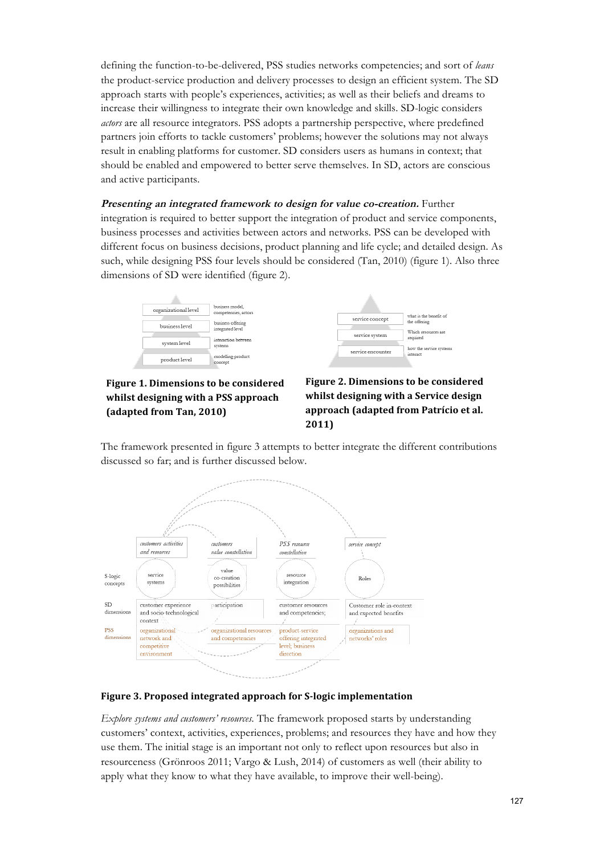defining the function-to-be-delivered, PSS studies networks competencies; and sort of *leans* the product-service production and delivery processes to design an efficient system. The SD approach starts with people's experiences, activities; as well as their beliefs and dreams to increase their willingness to integrate their own knowledge and skills. SD-logic considers *actors* are all resource integrators. PSS adopts a partnership perspective, where predefined partners join efforts to tackle customers' problems; however the solutions may not always result in enabling platforms for customer. SD considers users as humans in context; that should be enabled and empowered to better serve themselves. In SD, actors are conscious and active participants.

**Presenting an integrated framework to design for value co-creation.** Further integration is required to better support the integration of product and service components, business processes and activities between actors and networks. PSS can be developed with different focus on business decisions, product planning and life cycle; and detailed design. As such, while designing PSS four levels should be considered (Tan, 2010) (figure 1). Also three dimensions of SD were identified (figure 2).





### Figure 1. Dimensions to be considered whilst designing with a PSS approach **(adapted from Tan, 2010)**



The framework presented in figure 3 attempts to better integrate the different contributions discussed so far; and is further discussed below.



#### **Figure 3. Proposed integrated approach for S-logic implementation**

*Explore systems and customers' resources.* The framework proposed starts by understanding customers' context, activities, experiences, problems; and resources they have and how they use them. The initial stage is an important not only to reflect upon resources but also in resourceness (Grönroos 2011; Vargo & Lush, 2014) of customers as well (their ability to apply what they know to what they have available, to improve their well-being).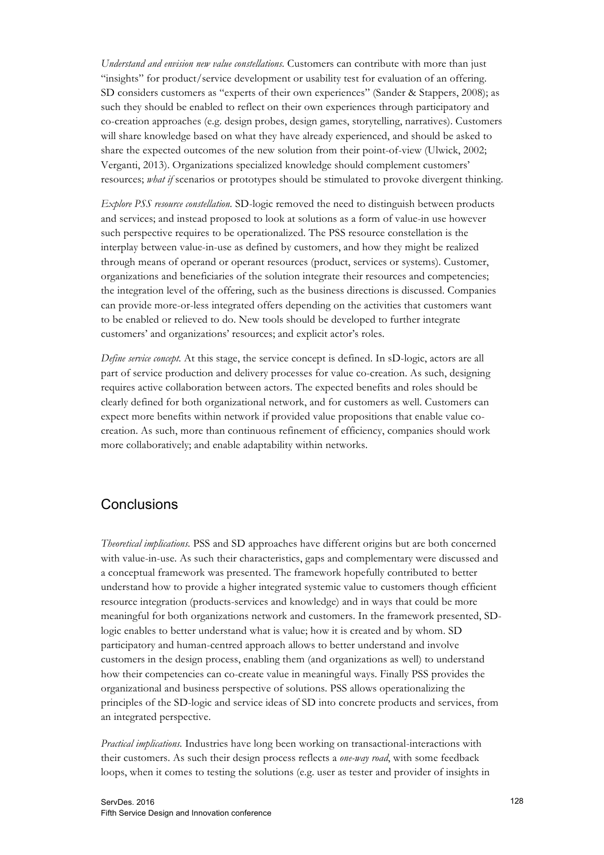*Understand and envision new value constellations.* Customers can contribute with more than just "insights" for product/service development or usability test for evaluation of an offering. SD considers customers as "experts of their own experiences" (Sander & Stappers, 2008); as such they should be enabled to reflect on their own experiences through participatory and co-creation approaches (e.g. design probes, design games, storytelling, narratives). Customers will share knowledge based on what they have already experienced, and should be asked to share the expected outcomes of the new solution from their point-of-view (Ulwick, 2002; Verganti, 2013). Organizations specialized knowledge should complement customers' resources; *what if* scenarios or prototypes should be stimulated to provoke divergent thinking.

*Explore PSS resource constellation.* SD-logic removed the need to distinguish between products and services; and instead proposed to look at solutions as a form of value-in use however such perspective requires to be operationalized. The PSS resource constellation is the interplay between value-in-use as defined by customers, and how they might be realized through means of operand or operant resources (product, services or systems). Customer, organizations and beneficiaries of the solution integrate their resources and competencies; the integration level of the offering, such as the business directions is discussed. Companies can provide more-or-less integrated offers depending on the activities that customers want to be enabled or relieved to do. New tools should be developed to further integrate customers' and organizations' resources; and explicit actor's roles.

*Define service concept.* At this stage, the service concept is defined. In sD-logic, actors are all part of service production and delivery processes for value co-creation. As such, designing requires active collaboration between actors. The expected benefits and roles should be clearly defined for both organizational network, and for customers as well. Customers can expect more benefits within network if provided value propositions that enable value cocreation. As such, more than continuous refinement of efficiency, companies should work more collaboratively; and enable adaptability within networks.

# **Conclusions**

*Theoretical implications.* PSS and SD approaches have different origins but are both concerned with value-in-use. As such their characteristics, gaps and complementary were discussed and a conceptual framework was presented. The framework hopefully contributed to better understand how to provide a higher integrated systemic value to customers though efficient resource integration (products-services and knowledge) and in ways that could be more meaningful for both organizations network and customers. In the framework presented, SDlogic enables to better understand what is value; how it is created and by whom. SD participatory and human-centred approach allows to better understand and involve customers in the design process, enabling them (and organizations as well) to understand how their competencies can co-create value in meaningful ways. Finally PSS provides the organizational and business perspective of solutions. PSS allows operationalizing the principles of the SD-logic and service ideas of SD into concrete products and services, from an integrated perspective.

*Practical implications.* Industries have long been working on transactional-interactions with their customers. As such their design process reflects a *one-way road*, with some feedback loops, when it comes to testing the solutions (e.g. user as tester and provider of insights in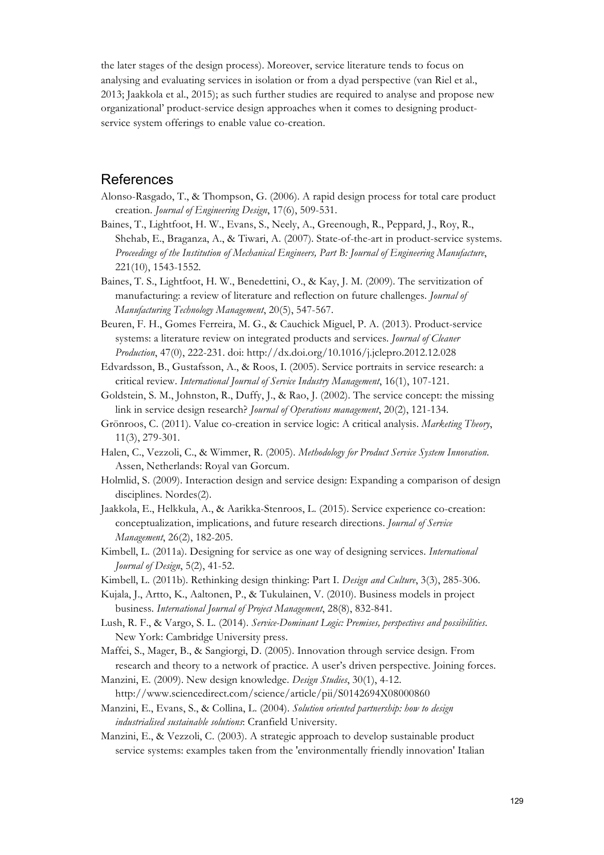the later stages of the design process). Moreover, service literature tends to focus on analysing and evaluating services in isolation or from a dyad perspective (van Riel et al., 2013; Jaakkola et al., 2015); as such further studies are required to analyse and propose new organizational' product-service design approaches when it comes to designing productservice system offerings to enable value co-creation.

#### **References**

- Alonso-Rasgado, T., & Thompson, G. (2006). A rapid design process for total care product creation. *Journal of Engineering Design*, 17(6), 509-531.
- Baines, T., Lightfoot, H. W., Evans, S., Neely, A., Greenough, R., Peppard, J., Roy, R., Shehab, E., Braganza, A., & Tiwari, A. (2007). State-of-the-art in product-service systems. *Proceedings of the Institution of Mechanical Engineers, Part B: Journal of Engineering Manufacture*, 221(10), 1543-1552.
- Baines, T. S., Lightfoot, H. W., Benedettini, O., & Kay, J. M. (2009). The servitization of manufacturing: a review of literature and reflection on future challenges. *Journal of Manufacturing Technology Management*, 20(5), 547-567.
- Beuren, F. H., Gomes Ferreira, M. G., & Cauchick Miguel, P. A. (2013). Product-service systems: a literature review on integrated products and services. *Journal of Cleaner Production*, 47(0), 222-231. doi: http://dx.doi.org/10.1016/j.jclepro.2012.12.028
- Edvardsson, B., Gustafsson, A., & Roos, I. (2005). Service portraits in service research: a critical review. *International Journal of Service Industry Management*, 16(1), 107-121.
- Goldstein, S. M., Johnston, R., Duffy, J., & Rao, J. (2002). The service concept: the missing link in service design research? *Journal of Operations management*, 20(2), 121-134.
- Grönroos, C. (2011). Value co-creation in service logic: A critical analysis. *Marketing Theory*, 11(3), 279-301.
- Halen, C., Vezzoli, C., & Wimmer, R. (2005). *Methodology for Product Service System Innovation*. Assen, Netherlands: Royal van Gorcum.
- Holmlid, S. (2009). Interaction design and service design: Expanding a comparison of design disciplines. Nordes(2).
- Jaakkola, E., Helkkula, A., & Aarikka-Stenroos, L. (2015). Service experience co-creation: conceptualization, implications, and future research directions. *Journal of Service Management*, 26(2), 182-205.
- Kimbell, L. (2011a). Designing for service as one way of designing services. *International Journal of Design*, 5(2), 41-52.
- Kimbell, L. (2011b). Rethinking design thinking: Part I. *Design and Culture*, 3(3), 285-306.
- Kujala, J., Artto, K., Aaltonen, P., & Tukulainen, V. (2010). Business models in project business. *International Journal of Project Management*, 28(8), 832-841.
- Lush, R. F., & Vargo, S. L. (2014). *Service-Dominant Logic: Premises, perspectives and possibilities*. New York: Cambridge University press.
- Maffei, S., Mager, B., & Sangiorgi, D. (2005). Innovation through service design. From research and theory to a network of practice. A user's driven perspective. Joining forces.
- Manzini, E. (2009). New design knowledge. *Design Studies*, 30(1), 4-12. http://www.sciencedirect.com/science/article/pii/S0142694X08000860
- Manzini, E., Evans, S., & Collina, L. (2004). *Solution oriented partnership: how to design industrialised sustainable solutions*: Cranfield University.
- Manzini, E., & Vezzoli, C. (2003). A strategic approach to develop sustainable product service systems: examples taken from the 'environmentally friendly innovation' Italian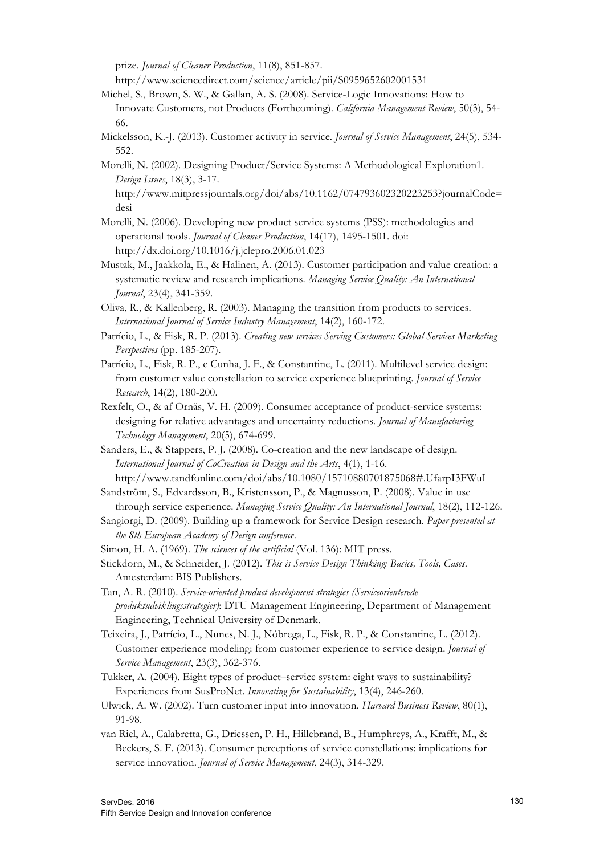prize. *Journal of Cleaner Production*, 11(8), 851-857.

http://www.sciencedirect.com/science/article/pii/S0959652602001531

- Michel, S., Brown, S. W., & Gallan, A. S. (2008). Service-Logic Innovations: How to Innovate Customers, not Products (Forthcoming). *California Management Review*, 50(3), 54- 66.
- Mickelsson, K.-J. (2013). Customer activity in service. *Journal of Service Management*, 24(5), 534- 552.
- Morelli, N. (2002). Designing Product/Service Systems: A Methodological Exploration1. *Design Issues*, 18(3), 3-17.

http://www.mitpressjournals.org/doi/abs/10.1162/074793602320223253?journalCode= desi

- Morelli, N. (2006). Developing new product service systems (PSS): methodologies and operational tools. *Journal of Cleaner Production*, 14(17), 1495-1501. doi: http://dx.doi.org/10.1016/j.jclepro.2006.01.023
- Mustak, M., Jaakkola, E., & Halinen, A. (2013). Customer participation and value creation: a systematic review and research implications. *Managing Service Quality: An International Journal*, 23(4), 341-359.
- Oliva, R., & Kallenberg, R. (2003). Managing the transition from products to services. *International Journal of Service Industry Management*, 14(2), 160-172.
- Patrício, L., & Fisk, R. P. (2013). *Creating new services Serving Customers: Global Services Marketing Perspectives* (pp. 185-207).
- Patrício, L., Fisk, R. P., e Cunha, J. F., & Constantine, L. (2011). Multilevel service design: from customer value constellation to service experience blueprinting. *Journal of Service Research*, 14(2), 180-200.
- Rexfelt, O., & af Ornäs, V. H. (2009). Consumer acceptance of product-service systems: designing for relative advantages and uncertainty reductions. *Journal of Manufacturing Technology Management*, 20(5), 674-699.
- Sanders, E., & Stappers, P. J. (2008). Co-creation and the new landscape of design. *International Journal of CoCreation in Design and the Arts*, 4(1), 1-16. http://www.tandfonline.com/doi/abs/10.1080/15710880701875068#.UfarpI3FWuI
- Sandström, S., Edvardsson, B., Kristensson, P., & Magnusson, P. (2008). Value in use through service experience. *Managing Service Quality: An International Journal*, 18(2), 112-126.
- Sangiorgi, D. (2009). Building up a framework for Service Design research. *Paper presented at the 8th European Academy of Design conference*.
- Simon, H. A. (1969). *The sciences of the artificial* (Vol. 136): MIT press.
- Stickdorn, M., & Schneider, J. (2012). *This is Service Design Thinking: Basics, Tools, Cases*. Amesterdam: BIS Publishers.
- Tan, A. R. (2010). *Service-oriented product development strategies (Serviceorienterede produktudviklingsstrategier)*: DTU Management Engineering, Department of Management Engineering, Technical University of Denmark.
- Teixeira, J., Patrício, L., Nunes, N. J., Nóbrega, L., Fisk, R. P., & Constantine, L. (2012). Customer experience modeling: from customer experience to service design. *Journal of Service Management*, 23(3), 362-376.
- Tukker, A. (2004). Eight types of product–service system: eight ways to sustainability? Experiences from SusProNet. *Innovating for Sustainability*, 13(4), 246-260.
- Ulwick, A. W. (2002). Turn customer input into innovation. *Harvard Business Review*, 80(1), 91-98.
- van Riel, A., Calabretta, G., Driessen, P. H., Hillebrand, B., Humphreys, A., Krafft, M., & Beckers, S. F. (2013). Consumer perceptions of service constellations: implications for service innovation. *Journal of Service Management*, 24(3), 314-329.